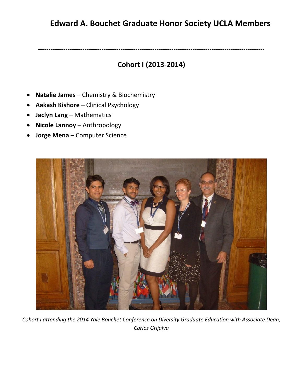## **Edward A. Bouchet Graduate Honor Society UCLA Members**

**-----------------------------------------------------------------------------------------------------------** 

## **Cohort I (2013-2014)**

- **Natalie James** Chemistry & Biochemistry
- **Aakash Kishore** Clinical Psychology
- **Jaclyn Lang** Mathematics
- **Nicole Lannoy** Anthropology
- **Jorge Mena** Computer Science



*Cohort I attending the 2014 Yale Bouchet Conference on Diversity Graduate Education with Associate Dean, Carlos Grijalva*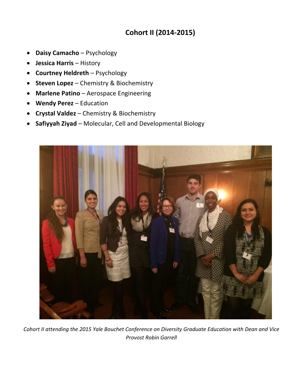## **Cohort II (2014-2015)**

- **Daisy Camacho** Psychology
- **Jessica Harris** History
- **Courtney Heldreth** Psychology
- **Steven Lopez** Chemistry & Biochemistry
- **Marlene Patino** Aerospace Engineering
- **Wendy Perez** Education
- **Crystal Valdez** Chemistry & Biochemistry
- **Safiyyah Ziyad** Molecular, Cell and Developmental Biology



*Cohort II attending the 2015 Yale Bouchet Conference on Diversity Graduate Education with Dean and Vice Provost Robin Garrell*